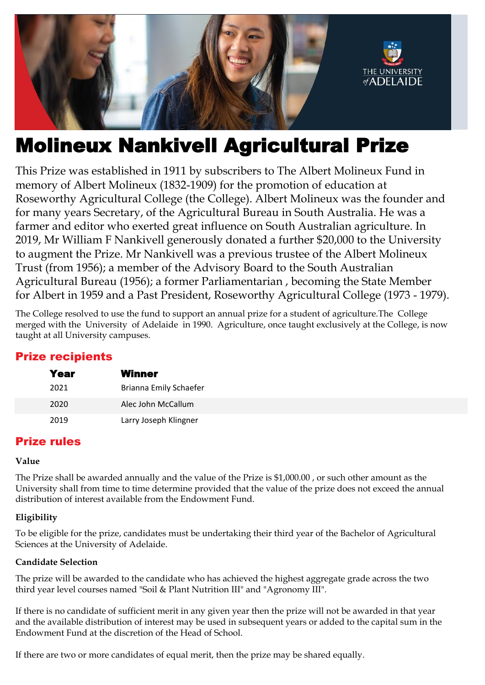

# Molineux Nankivell Agricultural Prize

This Prize was established in 1911 by subscribers to The Albert Molineux Fund in memory of Albert Molineux (1832-1909) for the promotion of education at Roseworthy Agricultural College (the College). Albert Molineux was the founder and for many years Secretary, of the Agricultural Bureau in South Australia. He was a farmer and editor who exerted great influence on South Australian agriculture. In 2019, Mr William F Nankivell generously donated a further \$20,000 to the University to augment the Prize. Mr Nankivell was a previous trustee of the Albert Molineux Trust (from 1956); a member of the Advisory Board to the South Australian Agricultural Bureau (1956); a former Parliamentarian , becoming the State Member for Albert in 1959 and a Past President, Roseworthy Agricultural College (1973 - 1979).

The College resolved to use the fund to support an annual prize for a student of agriculture.The College merged with the University of Adelaide in 1990. Agriculture, once taught exclusively at the College, is now taught at all University campuses.

# Prize recipients

| Year | Winner                 |
|------|------------------------|
| 2021 | Brianna Emily Schaefer |
| 2020 | Alec John McCallum     |
| 2019 | Larry Joseph Klingner  |

# Prize rules

#### **Value**

The Prize shall be awarded annually and the value of the Prize is \$1,000.00 , or such other amount as the University shall from time to time determine provided that the value of the prize does not exceed the annual distribution of interest available from the Endowment Fund.

## **Eligibility**

To be eligible for the prize, candidates must be undertaking their third year of the Bachelor of Agricultural Sciences at the University of Adelaide.

## **Candidate Selection**

The prize will be awarded to the candidate who has achieved the highest aggregate grade across the two third year level courses named "Soil & Plant Nutrition III" and "Agronomy III".

If there is no candidate of sufficient merit in any given year then the prize will not be awarded in that year and the available distribution of interest may be used in subsequent years or added to the capital sum in the Endowment Fund at the discretion of the Head of School.

If there are two or more candidates of equal merit, then the prize may be shared equally.